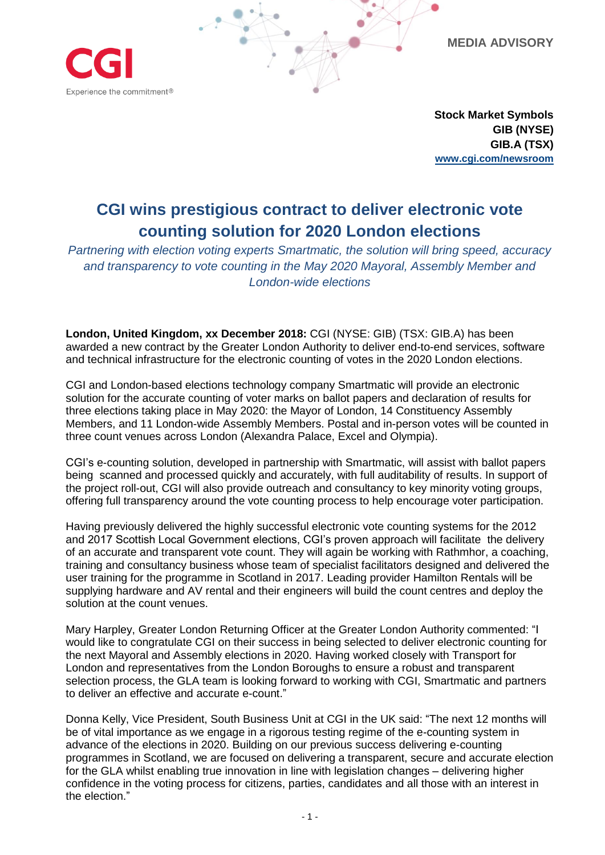**MEDIA ADVISORY**



**Stock Market Symbols GIB (NYSE) GIB.A (TSX) [www.cgi.com/newsroom](http://www.cgi.com/newsroom)**

## **CGI wins prestigious contract to deliver electronic vote counting solution for 2020 London elections**

*Partnering with election voting experts Smartmatic, the solution will bring speed, accuracy and transparency to vote counting in the May 2020 Mayoral, Assembly Member and London-wide elections*

**London, United Kingdom, xx December 2018:** CGI (NYSE: GIB) (TSX: GIB.A) has been awarded a new contract by the Greater London Authority to deliver end-to-end services, software and technical infrastructure for the electronic counting of votes in the 2020 London elections.

CGI and London-based elections technology company Smartmatic will provide an electronic solution for the accurate counting of voter marks on ballot papers and declaration of results for three elections taking place in May 2020: the Mayor of London, 14 Constituency Assembly Members, and 11 London-wide Assembly Members. Postal and in-person votes will be counted in three count venues across London (Alexandra Palace, Excel and Olympia).

CGI's e-counting solution, developed in partnership with Smartmatic, will assist with ballot papers being scanned and processed quickly and accurately, with full auditability of results. In support of the project roll-out, CGI will also provide outreach and consultancy to key minority voting groups, offering full transparency around the vote counting process to help encourage voter participation.

Having previously delivered the highly successful electronic vote counting systems for the 2012 and 2017 Scottish Local Government elections, CGI's proven approach will facilitate the delivery of an accurate and transparent vote count. They will again be working with Rathmhor, a coaching, training and consultancy business whose team of specialist facilitators designed and delivered the user training for the programme in Scotland in 2017. Leading provider Hamilton Rentals will be supplying hardware and AV rental and their engineers will build the count centres and deploy the solution at the count venues.

Mary Harpley, Greater London Returning Officer at the Greater London Authority commented: "I would like to congratulate CGI on their success in being selected to deliver electronic counting for the next Mayoral and Assembly elections in 2020. Having worked closely with Transport for London and representatives from the London Boroughs to ensure a robust and transparent selection process, the GLA team is looking forward to working with CGI, Smartmatic and partners to deliver an effective and accurate e-count."

Donna Kelly, Vice President, South Business Unit at CGI in the UK said: "The next 12 months will be of vital importance as we engage in a rigorous testing regime of the e-counting system in advance of the elections in 2020. Building on our previous success delivering e-counting programmes in Scotland, we are focused on delivering a transparent, secure and accurate election for the GLA whilst enabling true innovation in line with legislation changes – delivering higher confidence in the voting process for citizens, parties, candidates and all those with an interest in the election."